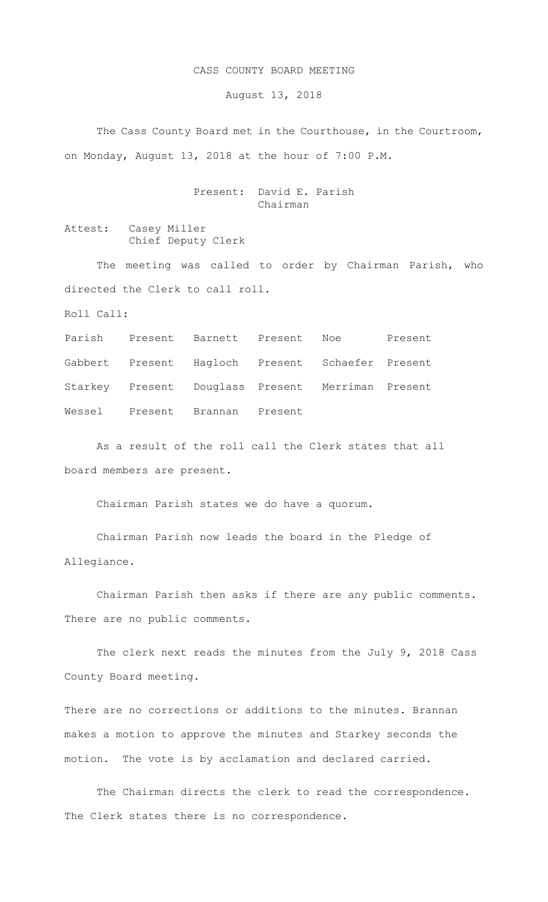## CASS COUNTY BOARD MEETING

August 13, 2018

 The Cass County Board met in the Courthouse, in the Courtroom, on Monday, August 13, 2018 at the hour of 7:00 P.M.

> Present: David E. Parish Chairman

Attest: Casey Miller Chief Deputy Clerk

The meeting was called to order by Chairman Parish, who directed the Clerk to call roll.

Roll Call:

Parish Present Barnett Present Noe Present Gabbert Present Hagloch Present Schaefer Present Starkey Present Douglass Present Merriman Present Wessel Present Brannan Present

As a result of the roll call the Clerk states that all board members are present.

Chairman Parish states we do have a quorum.

Chairman Parish now leads the board in the Pledge of Allegiance.

Chairman Parish then asks if there are any public comments. There are no public comments.

The clerk next reads the minutes from the July 9, 2018 Cass County Board meeting.

There are no corrections or additions to the minutes. Brannan makes a motion to approve the minutes and Starkey seconds the motion. The vote is by acclamation and declared carried.

The Chairman directs the clerk to read the correspondence. The Clerk states there is no correspondence.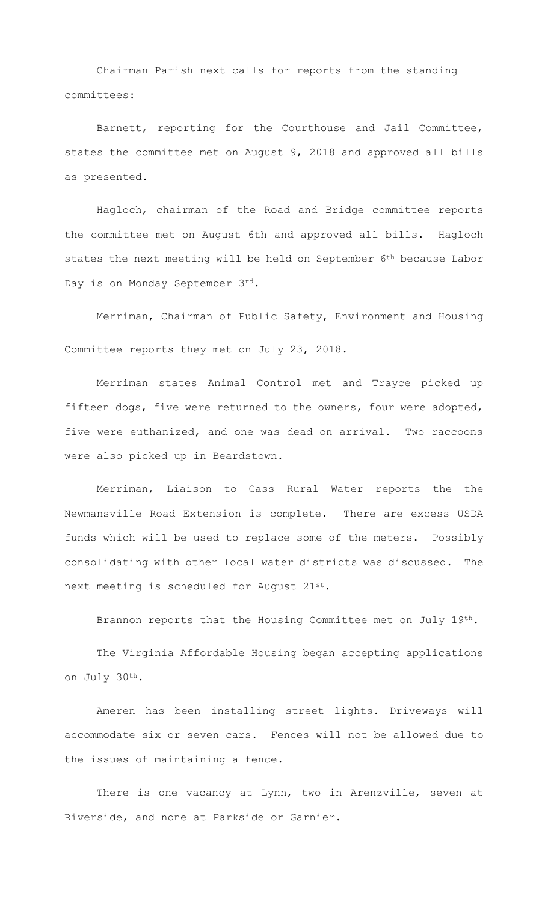Chairman Parish next calls for reports from the standing committees:

Barnett, reporting for the Courthouse and Jail Committee, states the committee met on August 9, 2018 and approved all bills as presented.

Hagloch, chairman of the Road and Bridge committee reports the committee met on August 6th and approved all bills. Hagloch states the next meeting will be held on September 6<sup>th</sup> because Labor Day is on Monday September 3rd.

Merriman, Chairman of Public Safety, Environment and Housing Committee reports they met on July 23, 2018.

 Merriman states Animal Control met and Trayce picked up fifteen dogs, five were returned to the owners, four were adopted, five were euthanized, and one was dead on arrival. Two raccoons were also picked up in Beardstown.

 Merriman, Liaison to Cass Rural Water reports the the Newmansville Road Extension is complete. There are excess USDA funds which will be used to replace some of the meters. Possibly consolidating with other local water districts was discussed. The next meeting is scheduled for August 21st.

Brannon reports that the Housing Committee met on July 19th.

The Virginia Affordable Housing began accepting applications on July 30th.

Ameren has been installing street lights. Driveways will accommodate six or seven cars. Fences will not be allowed due to the issues of maintaining a fence.

There is one vacancy at Lynn, two in Arenzville, seven at Riverside, and none at Parkside or Garnier.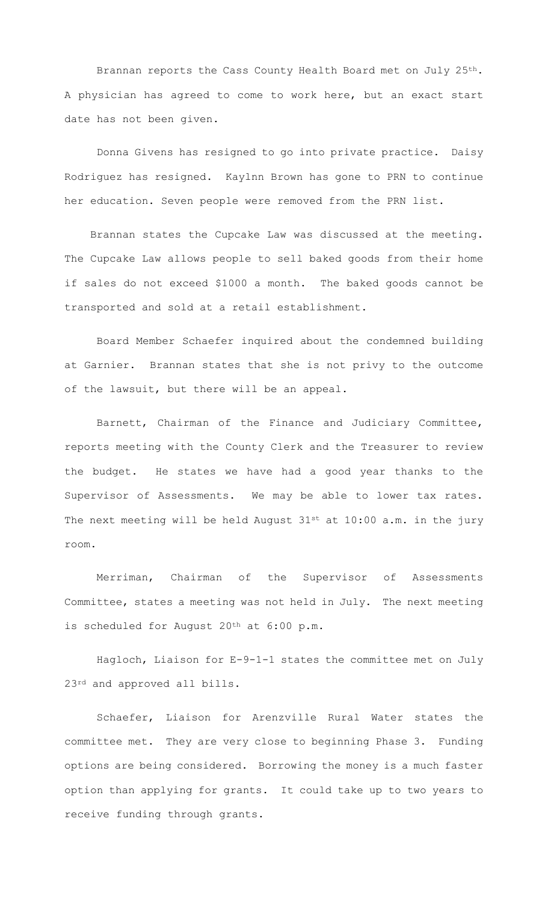Brannan reports the Cass County Health Board met on July 25th. A physician has agreed to come to work here, but an exact start date has not been given.

 Donna Givens has resigned to go into private practice. Daisy Rodriguez has resigned. Kaylnn Brown has gone to PRN to continue her education. Seven people were removed from the PRN list.

 Brannan states the Cupcake Law was discussed at the meeting. The Cupcake Law allows people to sell baked goods from their home if sales do not exceed \$1000 a month. The baked goods cannot be transported and sold at a retail establishment.

 Board Member Schaefer inquired about the condemned building at Garnier. Brannan states that she is not privy to the outcome of the lawsuit, but there will be an appeal.

 Barnett, Chairman of the Finance and Judiciary Committee, reports meeting with the County Clerk and the Treasurer to review the budget. He states we have had a good year thanks to the Supervisor of Assessments. We may be able to lower tax rates. The next meeting will be held August  $31^{st}$  at  $10:00$  a.m. in the jury room.

 Merriman, Chairman of the Supervisor of Assessments Committee, states a meeting was not held in July. The next meeting is scheduled for August 20<sup>th</sup> at 6:00 p.m.

 Hagloch, Liaison for E-9-1-1 states the committee met on July 23rd and approved all bills.

Schaefer, Liaison for Arenzville Rural Water states the committee met. They are very close to beginning Phase 3. Funding options are being considered. Borrowing the money is a much faster option than applying for grants. It could take up to two years to receive funding through grants.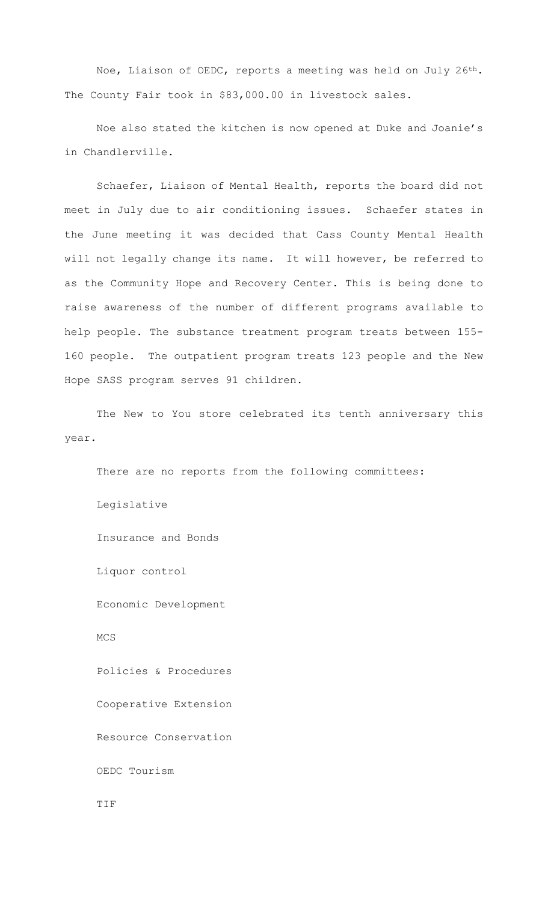Noe, Liaison of OEDC, reports a meeting was held on July 26th. The County Fair took in \$83,000.00 in livestock sales.

Noe also stated the kitchen is now opened at Duke and Joanie's in Chandlerville.

Schaefer, Liaison of Mental Health, reports the board did not meet in July due to air conditioning issues. Schaefer states in the June meeting it was decided that Cass County Mental Health will not legally change its name. It will however, be referred to as the Community Hope and Recovery Center. This is being done to raise awareness of the number of different programs available to help people. The substance treatment program treats between 155- 160 people. The outpatient program treats 123 people and the New Hope SASS program serves 91 children.

The New to You store celebrated its tenth anniversary this year.

There are no reports from the following committees: Legislative Insurance and Bonds Liquor control Economic Development MCS Policies & Procedures Cooperative Extension Resource Conservation OEDC Tourism TIF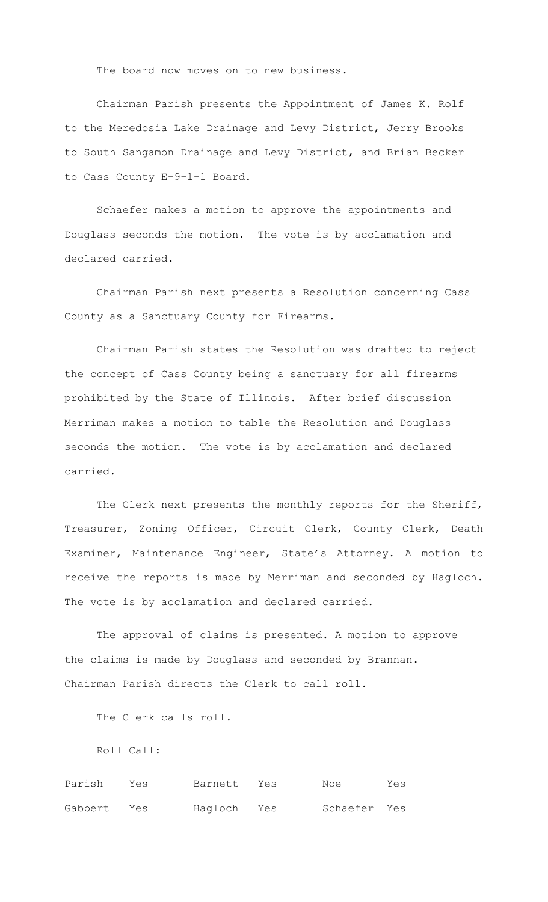The board now moves on to new business.

Chairman Parish presents the Appointment of James K. Rolf to the Meredosia Lake Drainage and Levy District, Jerry Brooks to South Sangamon Drainage and Levy District, and Brian Becker to Cass County E-9-1-1 Board.

Schaefer makes a motion to approve the appointments and Douglass seconds the motion. The vote is by acclamation and declared carried.

Chairman Parish next presents a Resolution concerning Cass County as a Sanctuary County for Firearms.

Chairman Parish states the Resolution was drafted to reject the concept of Cass County being a sanctuary for all firearms prohibited by the State of Illinois. After brief discussion Merriman makes a motion to table the Resolution and Douglass seconds the motion. The vote is by acclamation and declared carried.

The Clerk next presents the monthly reports for the Sheriff, Treasurer, Zoning Officer, Circuit Clerk, County Clerk, Death Examiner, Maintenance Engineer, State's Attorney. A motion to receive the reports is made by Merriman and seconded by Hagloch. The vote is by acclamation and declared carried.

The approval of claims is presented. A motion to approve the claims is made by Douglass and seconded by Brannan. Chairman Parish directs the Clerk to call roll.

The Clerk calls roll.

Roll Call:

Parish Yes Barnett Yes Noe Yes Gabbert Yes Hagloch Yes Schaefer Yes